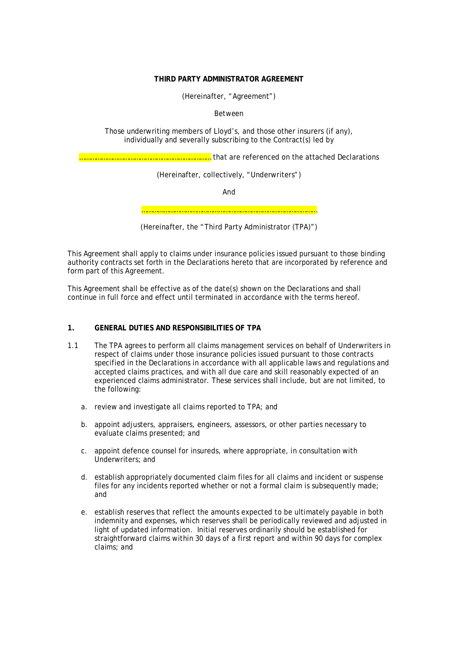# **THIRD PARTY ADMINISTRATOR AGREEMENT**

(Hereinafter, "Agreement")

Between

Those underwriting members of Lloyd's, and those other insurers (if any), individually and severally subscribing to the Contract(s) led by

……………………………………………………………… that are referenced on the attached Declarations

(Hereinafter, collectively, "Underwriters")

And

……………………………………………………………………………………

This Agreement shall apply to claims under insurance policies issued pursuant to those binding authority contracts set forth in the Declarations hereto that are incorporated by reference and form part of this Agreement.

This Agreement shall be effective as of the date(s) shown on the Declarations and shall continue in full force and effect until terminated in accordance with the terms hereof.

# **1. GENERAL DUTIES AND RESPONSIBILITIES OF TPA**

- 1.1 The TPA agrees to perform all claims management services on behalf of Underwriters in respect of claims under those insurance policies issued pursuant to those contracts specified in the Declarations in accordance with all applicable laws and regulations and accepted claims practices, and with all due care and skill reasonably expected of an experienced claims administrator. These services shall include, but are not limited, to the following:
	- a. review and investigate all claims reported to TPA; and
	- b. appoint adjusters, appraisers, engineers, assessors, or other parties necessary to evaluate claims presented; and
	- c. appoint defence counsel for insureds, where appropriate, in consultation with Underwriters; and
	- d. establish appropriately documented claim files for all claims and incident or suspense files for any incidents reported whether or not a formal claim is subsequently made; and
	- e. establish reserves that reflect the amounts expected to be ultimately payable in both indemnity and expenses, which reserves shall be periodically reviewed and adjusted in light of updated information. Initial reserves ordinarily should be established for straightforward claims within 30 days of a first report and within 90 days for complex claims; and

<sup>(</sup>Hereinafter, the "Third Party Administrator (TPA)")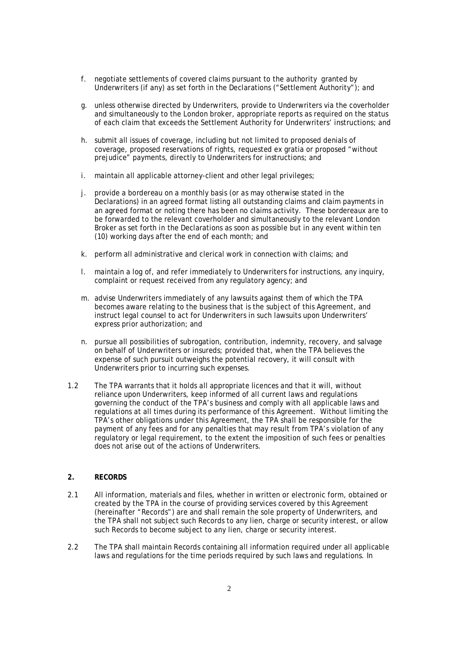- f. negotiate settlements of covered claims pursuant to the authority granted by Underwriters (if any) as set forth in the Declarations ("Settlement Authority"); and
- g. unless otherwise directed by Underwriters, provide to Underwriters via the coverholder and simultaneously to the London broker, appropriate reports as required on the status of each claim that exceeds the Settlement Authority for Underwriters' instructions; and
- h. submit all issues of coverage, including but not limited to proposed denials of coverage, proposed reservations of rights, requested ex gratia or proposed "without prejudice" payments, directly to Underwriters for instructions; and
- i. maintain all applicable attorney-client and other legal privileges;
- j. provide a bordereau on a monthly basis (or as may otherwise stated in the Declarations) in an agreed format listing all outstanding claims and claim payments in an agreed format or noting there has been no claims activity. These bordereaux are to be forwarded to the relevant coverholder and simultaneously to the relevant London Broker as set forth in the Declarations as soon as possible but in any event within ten (10) working days after the end of each month; and
- k. perform all administrative and clerical work in connection with claims; and
- l. maintain a log of, and refer immediately to Underwriters for instructions, any inquiry, complaint or request received from any regulatory agency; and
- m. advise Underwriters immediately of any lawsuits against them of which the TPA becomes aware relating to the business that is the subject of this Agreement, and instruct legal counsel to act for Underwriters in such lawsuits upon Underwriters' express prior authorization; and
- n. pursue all possibilities of subrogation, contribution, indemnity, recovery, and salvage on behalf of Underwriters or insureds; provided that, when the TPA believes the expense of such pursuit outweighs the potential recovery, it will consult with Underwriters prior to incurring such expenses.
- 1.2 The TPA warrants that it holds all appropriate licences and that it will, without reliance upon Underwriters, keep informed of all current laws and regulations governing the conduct of the TPA's business and comply with all applicable laws and regulations at all times during its performance of this Agreement. Without limiting the TPA's other obligations under this Agreement, the TPA shall be responsible for the payment of any fees and for any penalties that may result from TPA's violation of any regulatory or legal requirement, to the extent the imposition of such fees or penalties does not arise out of the actions of Underwriters.

# **2. RECORDS**

- 2.1 All information, materials and files, whether in written or electronic form, obtained or created by the TPA in the course of providing services covered by this Agreement (hereinafter "Records") are and shall remain the sole property of Underwriters, and the TPA shall not subject such Records to any lien, charge or security interest, or allow such Records to become subject to any lien, charge or security interest.
- 2.2 The TPA shall maintain Records containing all information required under all applicable laws and regulations for the time periods required by such laws and regulations. In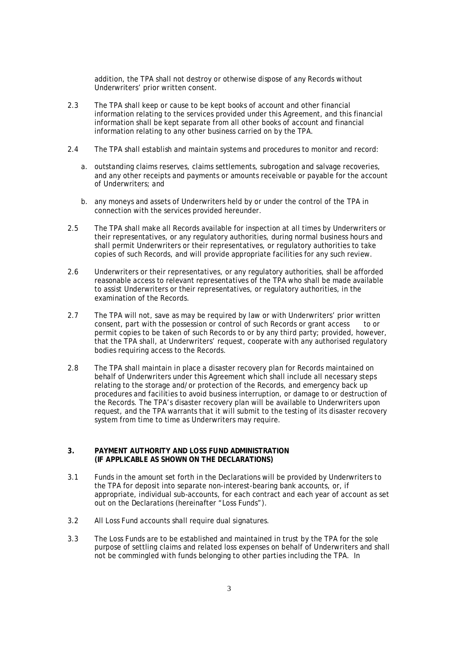addition, the TPA shall not destroy or otherwise dispose of any Records without Underwriters' prior written consent.

- 2.3 The TPA shall keep or cause to be kept books of account and other financial information relating to the services provided under this Agreement, and this financial information shall be kept separate from all other books of account and financial information relating to any other business carried on by the TPA.
- 2.4 The TPA shall establish and maintain systems and procedures to monitor and record:
	- a. outstanding claims reserves, claims settlements, subrogation and salvage recoveries, and any other receipts and payments or amounts receivable or payable for the account of Underwriters; and
	- b. any moneys and assets of Underwriters held by or under the control of the TPA in connection with the services provided hereunder.
- 2.5 The TPA shall make all Records available for inspection at all times by Underwriters or their representatives, or any regulatory authorities, during normal business hours and shall permit Underwriters or their representatives, or regulatory authorities to take copies of such Records, and will provide appropriate facilities for any such review.
- 2.6 Underwriters or their representatives, or any regulatory authorities, shall be afforded reasonable access to relevant representatives of the TPA who shall be made available to assist Underwriters or their representatives, or regulatory authorities, in the examination of the Records.
- 2.7 The TPA will not, save as may be required by law or with Underwriters' prior written consent, part with the possession or control of such Records or grant access to or permit copies to be taken of such Records to or by any third party; provided, however, that the TPA shall, at Underwriters' request, cooperate with any authorised regulatory bodies requiring access to the Records.
- 2.8 The TPA shall maintain in place a disaster recovery plan for Records maintained on behalf of Underwriters under this Agreement which shall include all necessary steps relating to the storage and/or protection of the Records, and emergency back up procedures and facilities to avoid business interruption, or damage to or destruction of the Records. The TPA's disaster recovery plan will be available to Underwriters upon request, and the TPA warrants that it will submit to the testing of its disaster recovery system from time to time as Underwriters may require.

## **3. PAYMENT AUTHORITY AND LOSS FUND ADMINISTRATION (IF APPLICABLE AS SHOWN ON THE DECLARATIONS)**

- 3.1 Funds in the amount set forth in the Declarations will be provided by Underwriters to the TPA for deposit into separate non-interest-bearing bank accounts, or, if appropriate, individual sub-accounts, for each contract and each year of account as set out on the Declarations (hereinafter "Loss Funds").
- 3.2 All Loss Fund accounts shall require dual signatures.
- 3.3 The Loss Funds are to be established and maintained in trust by the TPA for the sole purpose of settling claims and related loss expenses on behalf of Underwriters and shall not be commingled with funds belonging to other parties including the TPA. In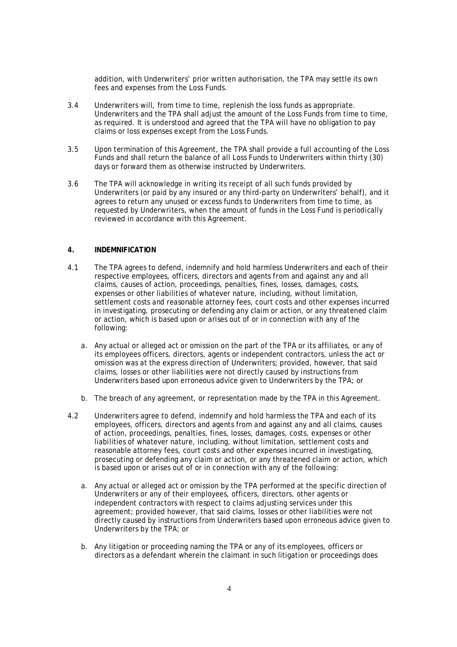addition, with Underwriters' prior written authorisation, the TPA may settle its own fees and expenses from the Loss Funds.

- 3.4 Underwriters will, from time to time, replenish the loss funds as appropriate. Underwriters and the TPA shall adjust the amount of the Loss Funds from time to time, as required. It is understood and agreed that the TPA will have no obligation to pay claims or loss expenses except from the Loss Funds.
- 3.5 Upon termination of this Agreement, the TPA shall provide a full accounting of the Loss Funds and shall return the balance of all Loss Funds to Underwriters within thirty (30) days or forward them as otherwise instructed by Underwriters.
- 3.6 The TPA will acknowledge in writing its receipt of all such funds provided by Underwriters (or paid by any insured or any third-party on Underwriters' behalf), and it agrees to return any unused or excess funds to Underwriters from time to time, as requested by Underwriters, when the amount of funds in the Loss Fund is periodically reviewed in accordance with this Agreement.

# **4. INDEMNIFICATION**

- 4.1 The TPA agrees to defend, indemnify and hold harmless Underwriters and each of their respective employees, officers, directors and agents from and against any and all claims, causes of action, proceedings, penalties, fines, losses, damages, costs, expenses or other liabilities of whatever nature, including, without limitation, settlement costs and reasonable attorney fees, court costs and other expenses incurred in investigating, prosecuting or defending any claim or action, or any threatened claim or action, which is based upon or arises out of or in connection with any of the following:
	- a. Any actual or alleged act or omission on the part of the TPA or its affiliates, or any of its employees officers, directors, agents or independent contractors, unless the act or omission was at the express direction of Underwriters; provided, however, that said claims, losses or other liabilities were not directly caused by instructions from Underwriters based upon erroneous advice given to Underwriters by the TPA; or
	- b. The breach of any agreement, or representation made by the TPA in this Agreement.
- 4.2 Underwriters agree to defend, indemnify and hold harmless the TPA and each of its employees, officers, directors and agents from and against any and all claims, causes of action, proceedings, penalties, fines, losses, damages, costs, expenses or other liabilities of whatever nature, including, without limitation, settlement costs and reasonable attorney fees, court costs and other expenses incurred in investigating, prosecuting or defending any claim or action, or any threatened claim or action, which is based upon or arises out of or in connection with any of the following:
	- a. Any actual or alleged act or omission by the TPA performed at the specific direction of Underwriters or any of their employees, officers, directors, other agents or independent contractors with respect to claims adjusting services under this agreement; provided however, that said claims, losses or other liabilities were not directly caused by instructions from Underwriters based upon erroneous advice given to Underwriters by the TPA; or
	- b. Any litigation or proceeding naming the TPA or any of its employees, officers or directors as a defendant wherein the claimant in such litigation or proceedings does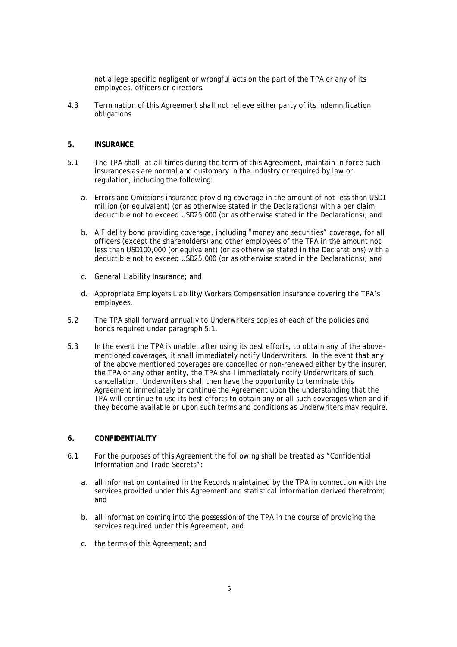not allege specific negligent or wrongful acts on the part of the TPA or any of its employees, officers or directors.

4.3 Termination of this Agreement shall not relieve either party of its indemnification obligations.

#### **5. INSURANCE**

- 5.1 The TPA shall, at all times during the term of this Agreement, maintain in force such insurances as are normal and customary in the industry or required by law or regulation, including the following:
	- a. Errors and Omissions insurance providing coverage in the amount of not less than USD1 million (or equivalent) (or as otherwise stated in the Declarations) with a per claim deductible not to exceed USD25,000 (or as otherwise stated in the Declarations); and
	- b. A Fidelity bond providing coverage, including "money and securities" coverage, for all officers (except the shareholders) and other employees of the TPA in the amount not less than USD100,000 (or equivalent) (or as otherwise stated in the Declarations) with a deductible not to exceed USD25,000 (or as otherwise stated in the Declarations); and
	- c. General Liability Insurance; and
	- d. Appropriate Employers Liability/Workers Compensation insurance covering the TPA's employees.
- 5.2 The TPA shall forward annually to Underwriters copies of each of the policies and bonds required under paragraph 5.1.
- 5.3 In the event the TPA is unable, after using its best efforts, to obtain any of the abovementioned coverages, it shall immediately notify Underwriters. In the event that any of the above mentioned coverages are cancelled or non-renewed either by the insurer, the TPA or any other entity, the TPA shall immediately notify Underwriters of such cancellation. Underwriters shall then have the opportunity to terminate this Agreement immediately or continue the Agreement upon the understanding that the TPA will continue to use its best efforts to obtain any or all such coverages when and if they become available or upon such terms and conditions as Underwriters may require.

#### **6. CONFIDENTIALITY**

- 6.1 For the purposes of this Agreement the following shall be treated as "Confidential Information and Trade Secrets":
	- a. all information contained in the Records maintained by the TPA in connection with the services provided under this Agreement and statistical information derived therefrom; and
	- b. all information coming into the possession of the TPA in the course of providing the services required under this Agreement; and
	- c. the terms of this Agreement; and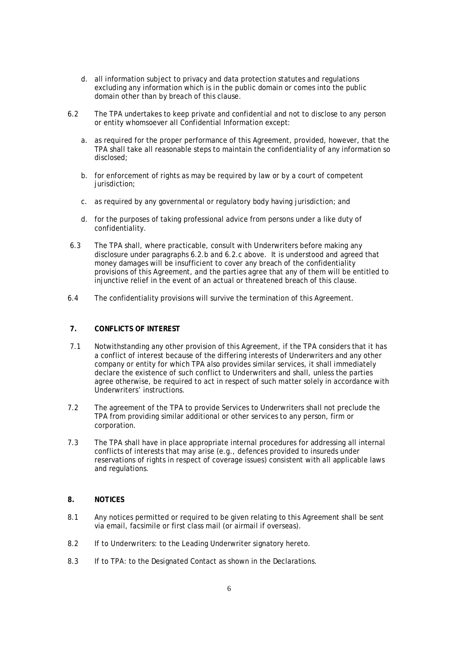- d. all information subject to privacy and data protection statutes and regulations excluding any information which is in the public domain or comes into the public domain other than by breach of this clause.
- 6.2 The TPA undertakes to keep private and confidential and not to disclose to any person or entity whomsoever all Confidential Information except:
	- a. as required for the proper performance of this Agreement, provided, however, that the TPA shall take all reasonable steps to maintain the confidentiality of any information so disclosed;
	- b. for enforcement of rights as may be required by law or by a court of competent iurisdiction:
	- c. as required by any governmental or regulatory body having jurisdiction; and
	- d. for the purposes of taking professional advice from persons under a like duty of confidentiality.
- 6.3 The TPA shall, where practicable, consult with Underwriters before making any disclosure under paragraphs 6.2.b and 6.2.c above. It is understood and agreed that money damages will be insufficient to cover any breach of the confidentiality provisions of this Agreement, and the parties agree that any of them will be entitled to injunctive relief in the event of an actual or threatened breach of this clause.
- 6.4 The confidentiality provisions will survive the termination of this Agreement.

# **7. CONFLICTS OF INTEREST**

- 7.1 Notwithstanding any other provision of this Agreement, if the TPA considers that it has a conflict of interest because of the differing interests of Underwriters and any other company or entity for which TPA also provides similar services, it shall immediately declare the existence of such conflict to Underwriters and shall, unless the parties agree otherwise, be required to act in respect of such matter solely in accordance with Underwriters' instructions.
- 7.2 The agreement of the TPA to provide Services to Underwriters shall not preclude the TPA from providing similar additional or other services to any person, firm or corporation.
- 7.3 The TPA shall have in place appropriate internal procedures for addressing all internal conflicts of interests that may arise (e.g., defences provided to insureds under reservations of rights in respect of coverage issues) consistent with all applicable laws and regulations.

# **8. NOTICES**

- 8.1 Any notices permitted or required to be given relating to this Agreement shall be sent via email, facsimile or first class mail (or airmail if overseas).
- 8.2 If to Underwriters: to the Leading Underwriter signatory hereto.
- 8.3 If to TPA: to the Designated Contact as shown in the Declarations.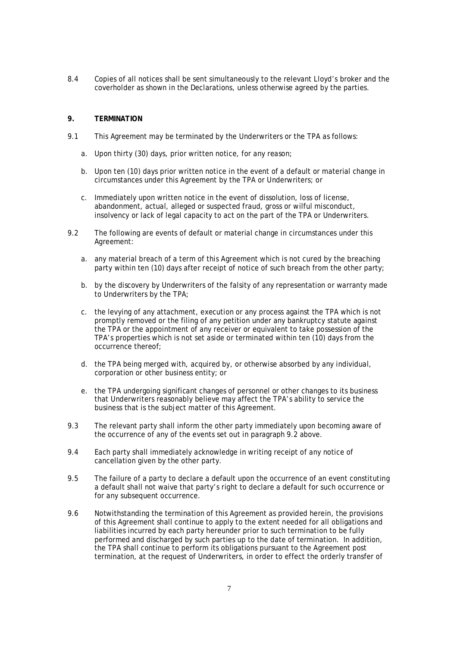8.4 Copies of all notices shall be sent simultaneously to the relevant Lloyd's broker and the coverholder as shown in the Declarations, unless otherwise agreed by the parties.

## **9. TERMINATION**

- 9.1 This Agreement may be terminated by the Underwriters or the TPA as follows:
	- a. Upon thirty (30) days, prior written notice, for any reason;
	- b. Upon ten (10) days prior written notice in the event of a default or material change in circumstances under this Agreement by the TPA or Underwriters; or
	- c. Immediately upon written notice in the event of dissolution, loss of license, abandonment, actual, alleged or suspected fraud, gross or wilful misconduct, insolvency or lack of legal capacity to act on the part of the TPA or Underwriters.
- 9.2 The following are events of default or material change in circumstances under this Agreement:
	- a. any material breach of a term of this Agreement which is not cured by the breaching party within ten (10) days after receipt of notice of such breach from the other party;
	- b. by the discovery by Underwriters of the falsity of any representation or warranty made to Underwriters by the TPA;
	- c. the levying of any attachment, execution or any process against the TPA which is not promptly removed or the filing of any petition under any bankruptcy statute against the TPA or the appointment of any receiver or equivalent to take possession of the TPA's properties which is not set aside or terminated within ten (10) days from the occurrence thereof;
	- d. the TPA being merged with, acquired by, or otherwise absorbed by any individual, corporation or other business entity; or
	- e. the TPA undergoing significant changes of personnel or other changes to its business that Underwriters reasonably believe may affect the TPA's ability to service the business that is the subject matter of this Agreement.
- 9.3 The relevant party shall inform the other party immediately upon becoming aware of the occurrence of any of the events set out in paragraph 9.2 above.
- 9.4 Each party shall immediately acknowledge in writing receipt of any notice of cancellation given by the other party.
- 9.5 The failure of a party to declare a default upon the occurrence of an event constituting a default shall not waive that party's right to declare a default for such occurrence or for any subsequent occurrence.
- 9.6 Notwithstanding the termination of this Agreement as provided herein, the provisions of this Agreement shall continue to apply to the extent needed for all obligations and liabilities incurred by each party hereunder prior to such termination to be fully performed and discharged by such parties up to the date of termination. In addition, the TPA shall continue to perform its obligations pursuant to the Agreement post termination, at the request of Underwriters, in order to effect the orderly transfer of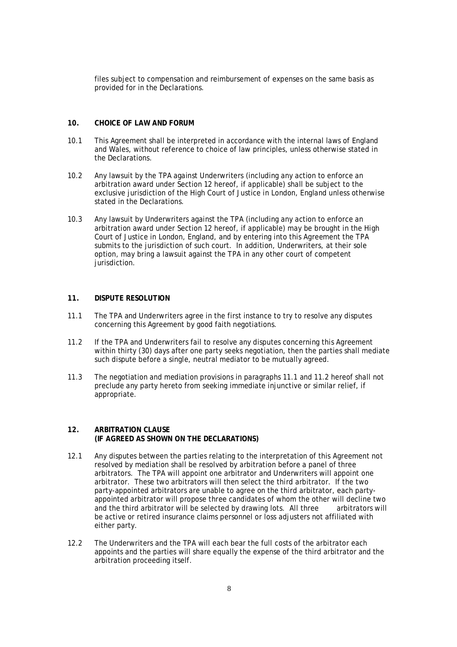files subject to compensation and reimbursement of expenses on the same basis as provided for in the Declarations.

## **10. CHOICE OF LAW AND FORUM**

- 10.1 This Agreement shall be interpreted in accordance with the internal laws of England and Wales, without reference to choice of law principles, unless otherwise stated in the Declarations.
- 10.2 Any lawsuit by the TPA against Underwriters (including any action to enforce an arbitration award under Section 12 hereof, if applicable) shall be subject to the exclusive jurisdiction of the High Court of Justice in London, England unless otherwise stated in the Declarations.
- 10.3 Any lawsuit by Underwriters against the TPA (including any action to enforce an arbitration award under Section 12 hereof, if applicable) may be brought in the High Court of Justice in London, England, and by entering into this Agreement the TPA submits to the jurisdiction of such court. In addition, Underwriters, at their sole option, may bring a lawsuit against the TPA in any other court of competent jurisdiction.

# **11. DISPUTE RESOLUTION**

- 11.1 The TPA and Underwriters agree in the first instance to try to resolve any disputes concerning this Agreement by good faith negotiations.
- 11.2 If the TPA and Underwriters fail to resolve any disputes concerning this Agreement within thirty (30) days after one party seeks negotiation, then the parties shall mediate such dispute before a single, neutral mediator to be mutually agreed.
- 11.3 The negotiation and mediation provisions in paragraphs 11.1 and 11.2 hereof shall not preclude any party hereto from seeking immediate injunctive or similar relief, if appropriate.

#### **12. ARBITRATION CLAUSE (IF AGREED AS SHOWN ON THE DECLARATIONS)**

- 12.1 Any disputes between the parties relating to the interpretation of this Agreement not resolved by mediation shall be resolved by arbitration before a panel of three arbitrators. The TPA will appoint one arbitrator and Underwriters will appoint one arbitrator. These two arbitrators will then select the third arbitrator. If the two party-appointed arbitrators are unable to agree on the third arbitrator, each partyappointed arbitrator will propose three candidates of whom the other will decline two and the third arbitrator will be selected by drawing lots. All three arbitrators will be active or retired insurance claims personnel or loss adjusters not affiliated with either party.
- 12.2 The Underwriters and the TPA will each bear the full costs of the arbitrator each appoints and the parties will share equally the expense of the third arbitrator and the arbitration proceeding itself.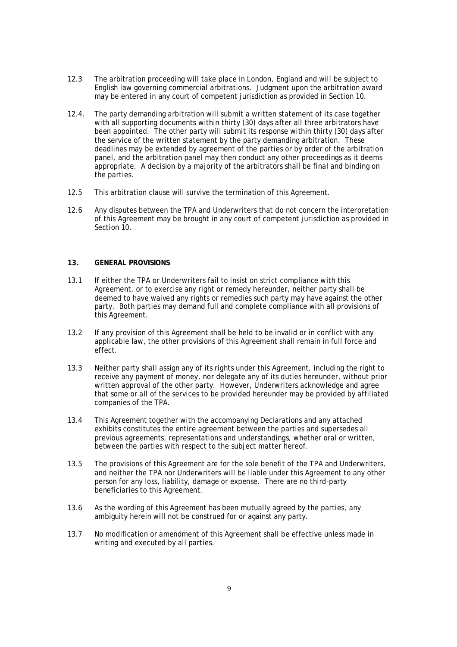- 12.3 The arbitration proceeding will take place in London, England and will be subject to English law governing commercial arbitrations. Judgment upon the arbitration award may be entered in any court of competent jurisdiction as provided in Section 10.
- 12.4. The party demanding arbitration will submit a written statement of its case together with all supporting documents within thirty (30) days after all three arbitrators have been appointed. The other party will submit its response within thirty (30) days after the service of the written statement by the party demanding arbitration. These deadlines may be extended by agreement of the parties or by order of the arbitration panel, and the arbitration panel may then conduct any other proceedings as it deems appropriate. A decision by a majority of the arbitrators shall be final and binding on the parties.
- 12.5 This arbitration clause will survive the termination of this Agreement.
- 12.6 Any disputes between the TPA and Underwriters that do not concern the interpretation of this Agreement may be brought in any court of competent jurisdiction as provided in Section 10.

## **13. GENERAL PROVISIONS**

- 13.1 If either the TPA or Underwriters fail to insist on strict compliance with this Agreement, or to exercise any right or remedy hereunder, neither party shall be deemed to have waived any rights or remedies such party may have against the other party. Both parties may demand full and complete compliance with all provisions of this Agreement.
- 13.2 If any provision of this Agreement shall be held to be invalid or in conflict with any applicable law, the other provisions of this Agreement shall remain in full force and effect.
- 13.3 Neither party shall assign any of its rights under this Agreement, including the right to receive any payment of money, nor delegate any of its duties hereunder, without prior written approval of the other party. However, Underwriters acknowledge and agree that some or all of the services to be provided hereunder may be provided by affiliated companies of the TPA.
- 13.4 This Agreement together with the accompanying Declarations and any attached exhibits constitutes the entire agreement between the parties and supersedes all previous agreements, representations and understandings, whether oral or written, between the parties with respect to the subject matter hereof.
- 13.5 The provisions of this Agreement are for the sole benefit of the TPA and Underwriters, and neither the TPA nor Underwriters will be liable under this Agreement to any other person for any loss, liability, damage or expense. There are no third-party beneficiaries to this Agreement.
- 13.6 As the wording of this Agreement has been mutually agreed by the parties, any ambiguity herein will not be construed for or against any party.
- 13.7 No modification or amendment of this Agreement shall be effective unless made in writing and executed by all parties.